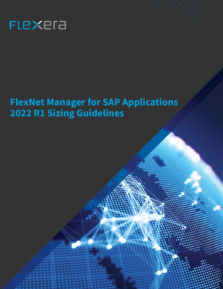

# **FlexNet Manager for SAP Applications 2022 R1 Sizing Guidelines**

s.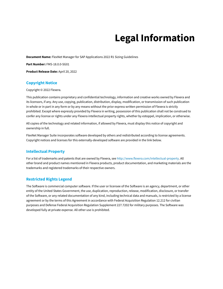# **Legal Information**

**Document Name:** FlexNet Manager for SAP Applications 2022 R1 Sizing Guidelines

**Part Number:** FMS-18.0.0-SG01

**Product Release Date:** April 20, 2022

#### **Copyright Notice**

Copyright © 2022 Flexera.

This publication contains proprietary and confidential technology, information and creative works owned by Flexera and its licensors, if any. Any use, copying, publication, distribution, display, modification, or transmission of such publication in whole or in part in any form or by any means without the prior express written permission of Flexera is strictly prohibited. Except where expressly provided by Flexera in writing, possession of this publication shall not be construed to confer any license or rights under any Flexera intellectual property rights, whether by estoppel, implication, or otherwise.

All copies of the technology and related information, if allowed by Flexera, must display this notice of copyright and ownership in full.

FlexNet Manager Suite incorporates software developed by others and redistributed according to license agreements. Copyright notices and licenses for this externally-developed software are provided in the link below.

#### **Intellectual Property**

For a list of trademarks and patents that are owned by Flexera, see <http://www.flexera.com/intellectual-property>. All other brand and product names mentioned in Flexera products, product documentation, and marketing materials are the trademarks and registered trademarks of their respective owners.

#### **Restricted Rights Legend**

The Software is commercial computer software. If the user or licensee of the Software is an agency, department, or other entity of the United States Government, the use, duplication, reproduction, release, modification, disclosure, or transfer of the Software, or any related documentation of any kind, including technical data and manuals, is restricted by a license agreement or by the terms of this Agreement in accordance with Federal Acquisition Regulation 12.212 for civilian purposes and Defense Federal Acquisition Regulation Supplement 227.7202 for military purposes. The Software was developed fully at private expense. All other use is prohibited.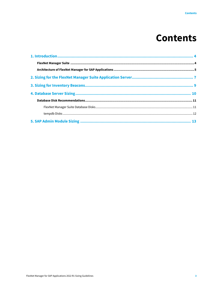### **Contents**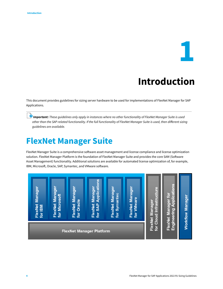# **1**

### **Introduction**

<span id="page-3-0"></span>This document provides guidelines for sizing server hardware to be used for implementations of FlexNet Manager for SAP Applications.

*Important: These guidelines only apply in instances where no other functionality of FlexNet Manager Suite is used other than the SAP-related functionality. If the full functionality of FlexNet Manager Suite is used, then different sizing guidelines are available.*

### <span id="page-3-1"></span>**FlexNet Manager Suite**

FlexNet Manager Suite is a comprehensive software asset management and license compliance and license optimization solution. FlexNet Manager Platform is the foundation of FlexNet Manager Suite and provides the core SAM (Software Asset Management) functionality. Additional solutions are available for automated license optimization of, for example, IBM, Microsoft, Oracle, SAP, Symantec, and VMware software.

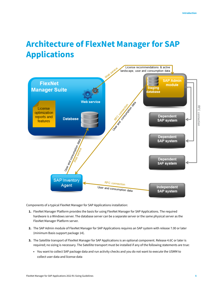### <span id="page-4-0"></span>**Architecture of FlexNet Manager for SAP Applications**



Components of a typical FlexNet Manager for SAP Applications installation:

- **1.** FlexNet Manager Platform provides the basis for using FlexNet Manager for SAP Applications. The required hardware is a Windows server. The database server can be a separate server or the same physical server as the FlexNet Manager Platform server.
- **2.** The SAP Admin module of FlexNet Manager for SAP Applications requires an SAP system with release 7.00 or later (minimum Basis support package 14).
- **3.** The Satellite transport of FlexNet Manager for SAP Applications is an optional component. Release 4.6C or later is required; no sizing is necessary. The Satellite transport must be installed if any of the following statements are true:
	- **•** You want to collect SAP package data and run activity checks and you do not want to execute the USMM to collect user data and license data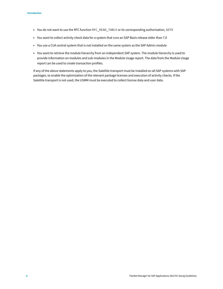- **•** You do not want to use the RFC function RFC\_READ\_TABLE or its corresponding authorization, SDTX
- **•** You want to collect activity check data for a system that runs an SAP Basis release older than 7.0
- **•** You use a CUA central system that is not installed on the same system as the SAP Admin module
- **•** You want to retrieve the module hierarchy from an independent SAP system. The module hierarchy is used to provide information on modules and sub-modules in the Module Usage report. The data from the Module Usage report can be used to create transaction profiles.

If any of the above statements apply to you, the Satellite transport must be installed on all SAP systems with SAP packages, to enable the optimization of the relevant package licenses and execution of activity checks. If the Satellite transport is not used, the USMM must be executed to collect license data and user data.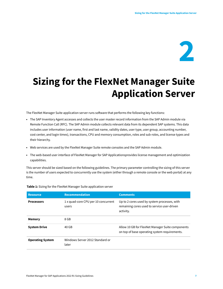

# <span id="page-6-0"></span>**Sizing for the FlexNet Manager Suite Application Server**

The FlexNet Manager Suite application server runs software that performs the following key functions:

- **•** The SAP Inventory Agent accesses and collects the user master record information from the SAP Admin module via Remote Function Call (RFC). The SAP Admin module collects relevant data from its dependent SAP systems. This data includes user information (user name, first and last name, validity dates, user type, user group, accounting number, cost center, and login times), transactions, CPU and memory consumption, roles and sub-roles, and license types and their hierarchy.
- **•** Web services are used by the FlexNet Manager Suite remote consoles and the SAP Admin module.
- **•** The web-based user interface of FlexNet Manager for SAP Applicationsprovides license management and optimization capabilities.

This server should be sized based on the following guidelines. The primary parameter controlling the sizing of this server is the number of users expected to concurrently use the system (either through a remote console or the web portal) at any time.

| <b>Resource</b>         | <b>Recommendation</b>                        | <b>Comments</b>                                                                                          |
|-------------------------|----------------------------------------------|----------------------------------------------------------------------------------------------------------|
| <b>Processors</b>       | 1 x quad-core CPU per 10 concurrent<br>users | Up to 2 cores used by system processes, with<br>remaining cores used to service user-driven<br>activity. |
| <b>Memory</b>           | 8 GB                                         |                                                                                                          |
| <b>System Drive</b>     | 40 GB                                        | Allow 10 GB for FlexNet Manager Suite components<br>on top of base operating system requirements.        |
| <b>Operating System</b> | Windows Server 2012 Standard or<br>later     |                                                                                                          |

**Table 1:** Sizing for the FlexNet Manager Suite application server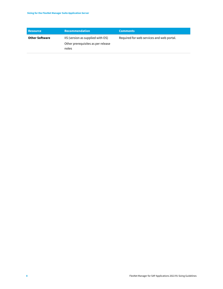| <b>Resource</b>       | <b>Recommendation</b>                                                            | <b>Comments</b>                           |
|-----------------------|----------------------------------------------------------------------------------|-------------------------------------------|
| <b>Other Software</b> | IIS (version as supplied with OS)<br>Other prerequisites as per release<br>notes | Required for web services and web portal. |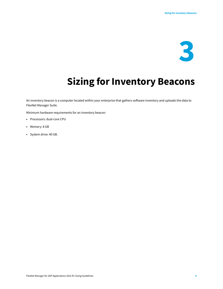

## **Sizing for Inventory Beacons**

<span id="page-8-0"></span>An inventory beacon is a computer located within your enterprise that gathers software inventory and uploads the data to FlexNet Manager Suite.

Minimum hardware requirements for an inventory beacon:

- **•** Processors: dual-core CPU
- **•** Memory: 8 GB
- **•** System drive: 40 GB.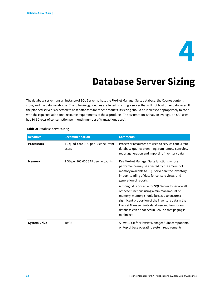

### **Database Server Sizing**

<span id="page-9-0"></span>The database server runs an instance of SQL Server to host the FlexNet Manager Suite database, the Cognos content store, and the data warehouse. The following guidelines are based on sizing a server that will not host other databases. If the planned server is expected to host databases for other products, its sizing should be increased appropriately to cope with the expected additional resource requirements of those products. The assumption is that, on average, an SAP user has 30-50 rows of consumption per month (number of transactions used).

| <b>Resource</b>     | <b>Recommendation</b>                        | <b>Comments</b>                                                                                                                                                                                                                                                                                                              |
|---------------------|----------------------------------------------|------------------------------------------------------------------------------------------------------------------------------------------------------------------------------------------------------------------------------------------------------------------------------------------------------------------------------|
| <b>Processors</b>   | 1 x quad-core CPU per 10 concurrent<br>users | Processor resources are used to service concurrent<br>database queries stemming from remote consoles,<br>report generation and importing inventory data.                                                                                                                                                                     |
| <b>Memory</b>       | 2 GB per 100,000 SAP user accounts           | Key FlexNet Manager Suite functions whose<br>performance may be affected by the amount of<br>memory available to SQL Server are the inventory<br>import, loading of data for console views, and<br>generation of reports.                                                                                                    |
|                     |                                              | Although it is possible for SQL Server to service all<br>of these functions using a minimal amount of<br>memory, memory should be sized to ensure a<br>significant proportion of the inventory data in the<br>FlexNet Manager Suite database and temporary<br>database can be cached in RAM, so that paging is<br>minimized. |
| <b>System Drive</b> | 40 GB                                        | Allow 10 GB for FlexNet Manager Suite components<br>on top of base operating system requirements.                                                                                                                                                                                                                            |

#### **Table 2:** Database server sizing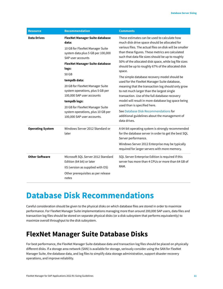| <b>Resource</b>         | <b>Recommendation</b>                                                                                                                                                                                                                                                                                                                                                                                                                            | <b>Comments</b>                                                                                                                                                                                                                                                                                                                                                                                                                                                                                                                                                                                                                                                                                                                                                                                                                                |
|-------------------------|--------------------------------------------------------------------------------------------------------------------------------------------------------------------------------------------------------------------------------------------------------------------------------------------------------------------------------------------------------------------------------------------------------------------------------------------------|------------------------------------------------------------------------------------------------------------------------------------------------------------------------------------------------------------------------------------------------------------------------------------------------------------------------------------------------------------------------------------------------------------------------------------------------------------------------------------------------------------------------------------------------------------------------------------------------------------------------------------------------------------------------------------------------------------------------------------------------------------------------------------------------------------------------------------------------|
| <b>Data Drives</b>      | <b>FlexNet Manager Suite database</b><br>data:<br>10 GB for FlexNet Manager Suite<br>system data plus 5 GB per 100,000<br>SAP user accounts<br><b>FlexNet Manager Suite database</b><br>logs:<br>50 GB<br>tempdb data:<br>20 GB for FlexNet Manager Suite<br>system operations, plus 5 GB per<br>100,000 SAP user accounts<br>tempdb logs:<br>20 GB for FlexNet Manager Suite<br>system operations, plus 10 GB per<br>100,000 SAP user accounts. | These estimates can be used to calculate how<br>much disk drive space should be allocated for<br>various files. The actual files on disk will be smaller<br>than these figures. These metrics are calculated<br>such that data file sizes should be up to roughly<br>50% of the allocated disk space, while log file sizes<br>should be up to roughly 67% of the allocated disk<br>space.<br>The simple database recovery model should be<br>used for the FlexNet Manager Suite database,<br>meaning that the transaction log should only grow<br>to not much larger than the largest single<br>transaction. Use of the full database recovery<br>model will result in more database log space being<br>used than is specified here.<br>See Database Disk Recommendations for<br>additional guidelines about the management of<br>data drives. |
| <b>Operating System</b> | Windows Server 2012 Standard or<br>later                                                                                                                                                                                                                                                                                                                                                                                                         | A 64-bit operating system is strongly recommended<br>for the database server in order to get the best SQL<br>Server performance.<br>Windows Server 2012 Enterprise may be typically<br>required for larger servers with more memory.                                                                                                                                                                                                                                                                                                                                                                                                                                                                                                                                                                                                           |
| <b>Other Software</b>   | Microsoft SQL Server 2012 Standard<br>Edition (64 bit) or later<br>IIS (version as supplied with OS)<br>Other prerequisites as per release<br>notes                                                                                                                                                                                                                                                                                              | SQL Server Enterprise Edition is required if this<br>server has more than 4 CPUs or more than 64 GB of<br>RAM.                                                                                                                                                                                                                                                                                                                                                                                                                                                                                                                                                                                                                                                                                                                                 |

#### <span id="page-10-0"></span>**Database Disk Recommendations**

Careful consideration should be given to the physical disks on which database files are stored in order to maximize performance. For FlexNet Manager Suite implementations managing more than around 200,000 SAP users, data files and transaction log files should be stored on separate physical disks (or a disk subsystem that performs equivalently) to maximize overall throughput to the disk subsystem.

#### <span id="page-10-1"></span>**FlexNet Manager Suite Database Disks**

For best performance, the FlexNet Manager Suite database data and transaction log files should be placed on physically different disks. If a storage area network (SAN) is available for storage, seriously consider using the SAN for FlexNet Manager Suite, the database data, and log files to simplify data storage administration, support disaster recovery operations, and improve reliability.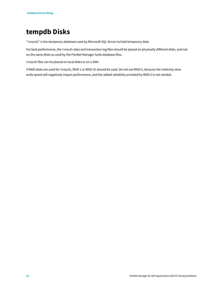#### <span id="page-11-0"></span>**tempdb Disks**

"tempdb" is the temporary database used by Microsoft SQL Server to hold temporary data.

For best performance, the tempdb data and transaction log files should be placed on physically different disks, and not on the same disks as used by the FlexNet Manager Suite database files.

tempdb files can be placed on local disks or on a SAN.

If RAID disks are used for tempdb, RAID 1 or RAID 10 should be used. Do not use RAID 5, because the relatively slow write speed will negatively impact performance, and the added reliability provided by RAID 5 is not needed.